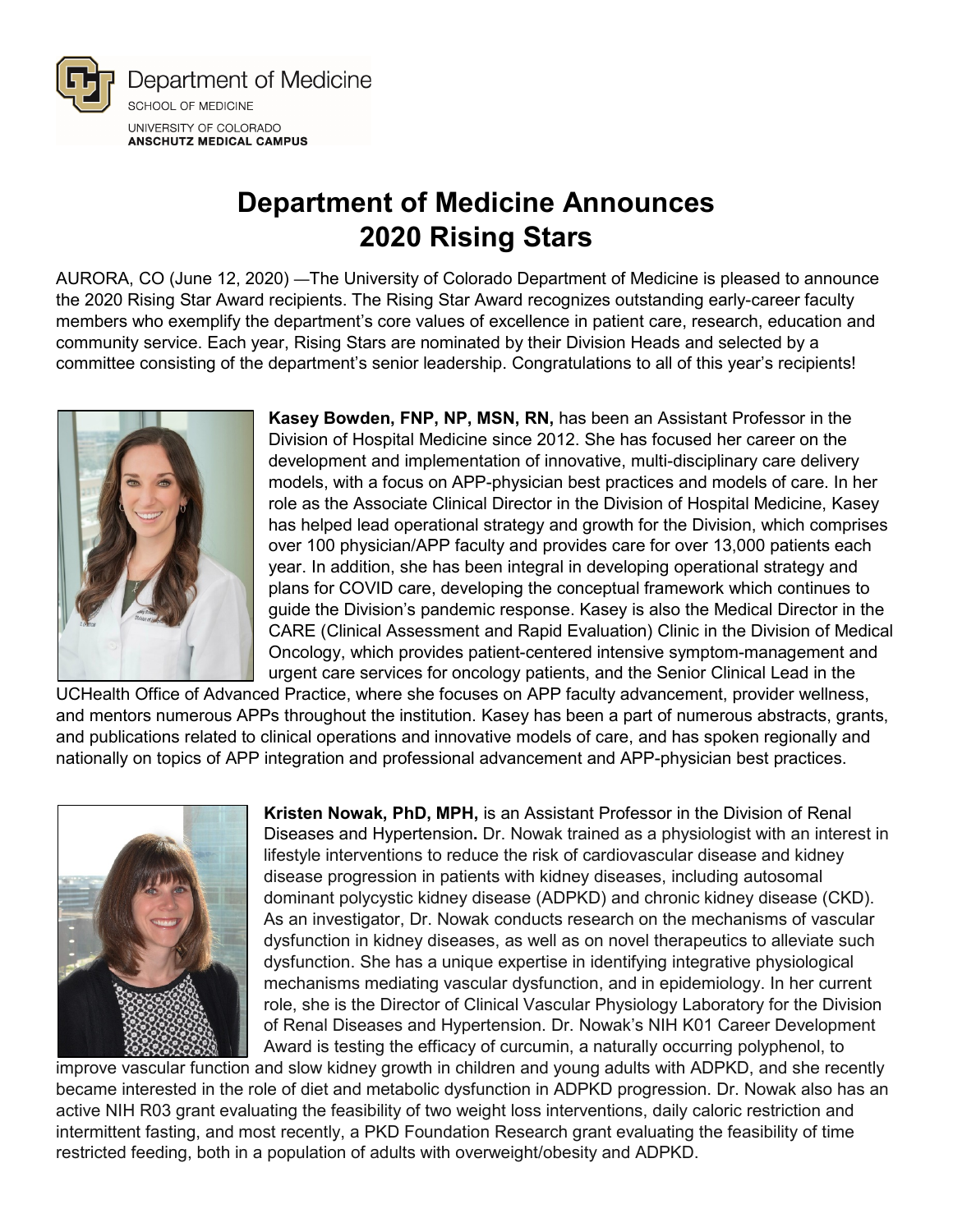

## **Department of Medicine Announces 2020 Rising Stars**

AURORA, CO (June 12, 2020) —The University of Colorado Department of Medicine is pleased to announce the 2020 Rising Star Award recipients. The Rising Star Award recognizes outstanding early-career faculty members who exemplify the department's core values of excellence in patient care, research, education and community service. Each year, Rising Stars are nominated by their Division Heads and selected by a committee consisting of the department's senior leadership. Congratulations to all of this year's recipients!



**Kasey Bowden, FNP, NP, MSN, RN,** has been an Assistant Professor in the Division of Hospital Medicine since 2012. She has focused her career on the development and implementation of innovative, multi-disciplinary care delivery models, with a focus on APP-physician best practices and models of care. In her role as the Associate Clinical Director in the Division of Hospital Medicine, Kasey has helped lead operational strategy and growth for the Division, which comprises over 100 physician/APP faculty and provides care for over 13,000 patients each year. In addition, she has been integral in developing operational strategy and plans for COVID care, developing the conceptual framework which continues to guide the Division's pandemic response. Kasey is also the Medical Director in the CARE (Clinical Assessment and Rapid Evaluation) Clinic in the Division of Medical Oncology, which provides patient-centered intensive symptom-management and urgent care services for oncology patients, and the Senior Clinical Lead in the

UCHealth Office of Advanced Practice, where she focuses on APP faculty advancement, provider wellness, and mentors numerous APPs throughout the institution. Kasey has been a part of numerous abstracts, grants, and publications related to clinical operations and innovative models of care, and has spoken regionally and nationally on topics of APP integration and professional advancement and APP-physician best practices.



**Kristen Nowak, PhD, MPH,** is an Assistant Professor in the Division of Renal Diseases and Hypertension**.** Dr. Nowak trained as a physiologist with an interest in lifestyle interventions to reduce the risk of cardiovascular disease and kidney disease progression in patients with kidney diseases, including autosomal dominant polycystic kidney disease (ADPKD) and chronic kidney disease (CKD). As an investigator, Dr. Nowak conducts research on the mechanisms of vascular dysfunction in kidney diseases, as well as on novel therapeutics to alleviate such dysfunction. She has a unique expertise in identifying integrative physiological mechanisms mediating vascular dysfunction, and in epidemiology. In her current role, she is the Director of Clinical Vascular Physiology Laboratory for the Division of Renal Diseases and Hypertension. Dr. Nowak's NIH K01 Career Development Award is testing the efficacy of curcumin, a naturally occurring polyphenol, to

improve vascular function and slow kidney growth in children and young adults with ADPKD, and she recently became interested in the role of diet and metabolic dysfunction in ADPKD progression. Dr. Nowak also has an active NIH R03 grant evaluating the feasibility of two weight loss interventions, daily caloric restriction and intermittent fasting, and most recently, a PKD Foundation Research grant evaluating the feasibility of time restricted feeding, both in a population of adults with overweight/obesity and ADPKD.